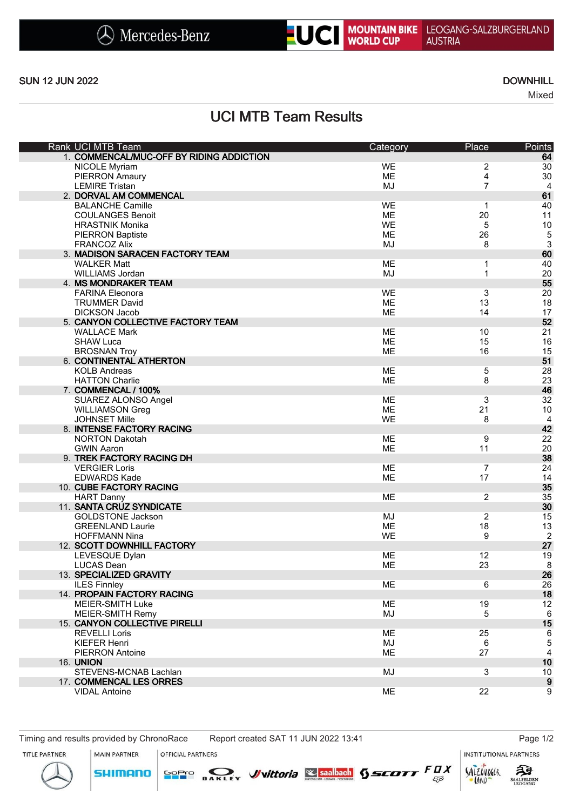



SUN 12 JUN 2022 DOWNHILL

Mixed

UCI MTB Team Results

| Rank UCI MTB Team                        | Category  | Place          | Points           |
|------------------------------------------|-----------|----------------|------------------|
| 1. COMMENCAL/MUC-OFF BY RIDING ADDICTION |           |                | 64               |
| NICOLE Myriam                            | <b>WE</b> | 2              | 30               |
| <b>PIERRON Amaury</b>                    | <b>ME</b> | 4              | 30               |
| <b>LEMIRE Tristan</b>                    | MJ        | $\overline{7}$ | 4                |
| 2. DORVAL AM COMMENCAL                   |           |                | 61               |
| <b>BALANCHE Camille</b>                  | <b>WE</b> | 1              | 40               |
| <b>COULANGES Benoit</b>                  | ME        | 20             | 11               |
| <b>HRASTNIK Monika</b>                   | <b>WE</b> | 5              | 10               |
| <b>PIERRON Baptiste</b>                  | ME        | 26             |                  |
| <b>FRANCOZ Alix</b>                      | MJ        | 8              | $\frac{5}{3}$    |
| 3. MADISON SARACEN FACTORY TEAM          |           |                | 60               |
| <b>WALKER Matt</b>                       | ME        | 1              | 40               |
|                                          |           | 1              |                  |
| WILLIAMS Jordan                          | MJ        |                | 20               |
| 4. MS MONDRAKER TEAM                     |           |                | 55               |
| <b>FARINA Eleonora</b>                   | <b>WE</b> | 3              | 20               |
| <b>TRUMMER David</b>                     | ME        | 13             | 18               |
| <b>DICKSON Jacob</b>                     | ME        | 14             | 17               |
| 5. CANYON COLLECTIVE FACTORY TEAM        |           |                | 52               |
| <b>WALLACE Mark</b>                      | <b>ME</b> | 10             | 21               |
| <b>SHAW Luca</b>                         | <b>ME</b> | 15             | 16               |
| <b>BROSNAN Troy</b>                      | <b>ME</b> | 16             | 15               |
| 6. CONTINENTAL ATHERTON                  |           |                | 51               |
| <b>KOLB Andreas</b>                      | ME        | 5              | 28               |
| <b>HATTON Charlie</b>                    | <b>ME</b> | 8              | 23               |
| 7. COMMENCAL / 100%                      |           |                | 46               |
| SUAREZ ALONSO Angel                      | ME        | 3              | 32               |
| <b>WILLIAMSON Greg</b>                   | ME        | 21             | 10               |
| <b>JOHNSET Mille</b>                     | <b>WE</b> | 8              | $\overline{4}$   |
|                                          |           |                |                  |
| 8. INTENSE FACTORY RACING                |           |                | 42               |
| <b>NORTON Dakotah</b>                    | <b>ME</b> | 9              | 22               |
| <b>GWIN Aaron</b>                        | <b>ME</b> | 11             | 20               |
| 9. TREK FACTORY RACING DH                |           |                | 38               |
| <b>VERGIER Loris</b>                     | <b>ME</b> | $\overline{7}$ | 24               |
| <b>EDWARDS Kade</b>                      | <b>ME</b> | 17             | 14               |
| 10. CUBE FACTORY RACING                  |           |                | 35               |
| <b>HART Danny</b>                        | <b>ME</b> | 2              | 35               |
| 11. SANTA CRUZ SYNDICATE                 |           |                | 30               |
| <b>GOLDSTONE Jackson</b>                 | MJ        | 2              | 15               |
| <b>GREENLAND Laurie</b>                  | ME        | 18             | 13               |
| <b>HOFFMANN Nina</b>                     | WE        | 9              | $\overline{2}$   |
| 12. SCOTT DOWNHILL FACTORY               |           |                | 27               |
| LEVESQUE Dylan                           | ME        | 12             | 19               |
| <b>LUCAS Dean</b>                        | ME        | 23             | 8                |
| 13. SPECIALIZED GRAVITY                  |           |                | 26               |
| <b>ILES Finnley</b>                      | ME        | 6              | 26               |
| 14. PROPAIN FACTORY RACING               |           |                | 18               |
|                                          |           |                |                  |
| MEIER-SMITH Luke                         | ME        | 19             | 12               |
| MEIER-SMITH Remy                         | MJ        | 5              | 6                |
| 15. CANYON COLLECTIVE PIRELLI            |           |                | 15               |
| <b>REVELLI Loris</b>                     | ME        | 25             | 6                |
| <b>KIEFER Henri</b>                      | MJ        | 6              | 5                |
| <b>PIERRON Antoine</b>                   | <b>ME</b> | 27             | $\overline{4}$   |
| <b>16. UNION</b>                         |           |                | 10               |
| STEVENS-MCNAB Lachlan                    | MJ        | 3              | 10               |
| 17. COMMENCAL LES ORRES                  |           |                | $\boldsymbol{9}$ |
| <b>VIDAL Antoine</b>                     | ME        | 22             | 9                |
|                                          |           |                |                  |

Timing and results provided by ChronoRace Report created SAT 11 JUN 2022 13:41 Page 1/2

OFFICIAL PARTNERS

**INSTITUTIONAL PARTNERS** 





MAIN PARTNER